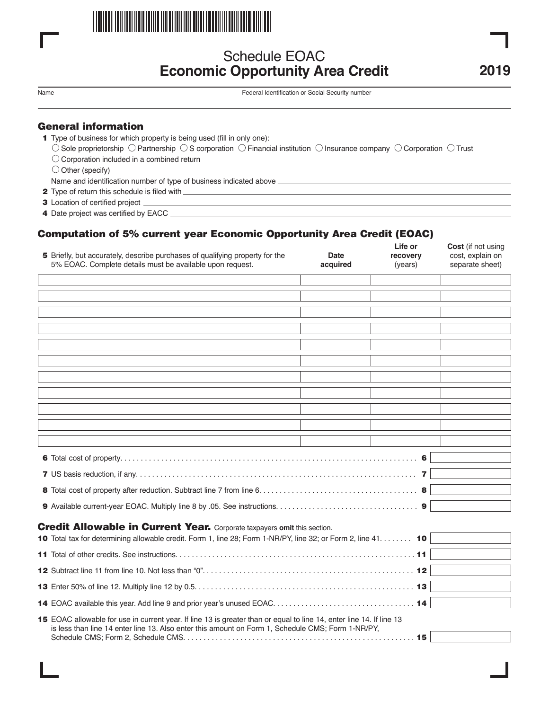

# Schedule EOAC **Economic Opportunity Area Credit**

Name Federal Identification or Social Security number

#### General information

- 1 Type of business for which property is being used (fill in only one):
	- $\circ$  Sole proprietorship  $\circ$  Partnership  $\circ$  S corporation  $\circ$  Financial institution  $\circ$  Insurance company  $\circ$  Corporation  $\circ$  Trust
	- $\bigcirc$  Corporation included in a combined return
	- $\bigcirc$  Other (specify) \_

Name and identification number of type of business indicated above

- 12 Type of return this schedule is filed with
- 3 Location of certified project \_
- 14 Date project was certified by EACC

### Computation of 5% current year Economic Opportunity Area Credit (EOAC)

| 5 Briefly, but accurately, describe purchases of qualifying property for the<br>5% EOAC. Complete details must be available upon request.                                                                                 | <b>Date</b><br>acquired | Life or<br>recovery<br>(years) | Cost (if not using<br>cost, explain on<br>separate sheet) |
|---------------------------------------------------------------------------------------------------------------------------------------------------------------------------------------------------------------------------|-------------------------|--------------------------------|-----------------------------------------------------------|
|                                                                                                                                                                                                                           |                         |                                |                                                           |
|                                                                                                                                                                                                                           |                         |                                |                                                           |
|                                                                                                                                                                                                                           |                         |                                |                                                           |
|                                                                                                                                                                                                                           |                         |                                |                                                           |
|                                                                                                                                                                                                                           |                         |                                |                                                           |
|                                                                                                                                                                                                                           |                         |                                |                                                           |
|                                                                                                                                                                                                                           |                         |                                |                                                           |
|                                                                                                                                                                                                                           |                         |                                |                                                           |
|                                                                                                                                                                                                                           |                         |                                |                                                           |
|                                                                                                                                                                                                                           |                         |                                |                                                           |
|                                                                                                                                                                                                                           |                         |                                |                                                           |
|                                                                                                                                                                                                                           |                         |                                |                                                           |
|                                                                                                                                                                                                                           |                         |                                |                                                           |
|                                                                                                                                                                                                                           |                         |                                |                                                           |
|                                                                                                                                                                                                                           |                         |                                |                                                           |
| <b>Credit Allowable in Current Year.</b> Corporate taxpayers omit this section.                                                                                                                                           |                         |                                |                                                           |
| 10 Total tax for determining allowable credit. Form 1, line 28; Form 1-NR/PY, line 32; or Form 2, line 41. 10                                                                                                             |                         |                                |                                                           |
|                                                                                                                                                                                                                           |                         |                                |                                                           |
|                                                                                                                                                                                                                           |                         |                                |                                                           |
|                                                                                                                                                                                                                           |                         |                                |                                                           |
|                                                                                                                                                                                                                           |                         |                                |                                                           |
| 15 EOAC allowable for use in current year. If line 13 is greater than or equal to line 14, enter line 14. If line 13<br>is less than line 14 enter line 13. Also enter this amount on Form 1, Schedule CMS; Form 1-NR/PY, |                         |                                |                                                           |
|                                                                                                                                                                                                                           |                         |                                |                                                           |